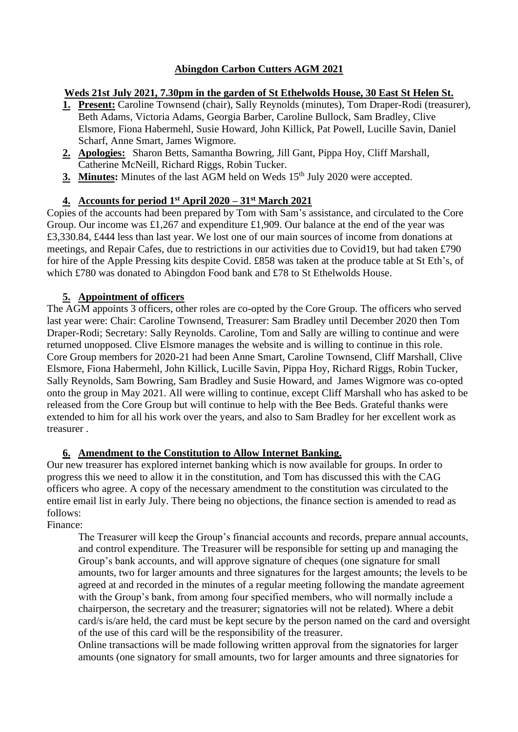## **Abingdon Carbon Cutters AGM 2021**

## **Weds 21st July 2021, 7.30pm in the garden of St Ethelwolds House, 30 East St Helen St.**

- **1. Present:** Caroline Townsend (chair), Sally Reynolds (minutes), Tom Draper-Rodi (treasurer), Beth Adams, Victoria Adams, Georgia Barber, Caroline Bullock, Sam Bradley, Clive Elsmore, Fiona Habermehl, Susie Howard, John Killick, Pat Powell, Lucille Savin, Daniel Scharf, Anne Smart, James Wigmore.
- **2. Apologies:** Sharon Betts, Samantha Bowring, Jill Gant, Pippa Hoy, Cliff Marshall, Catherine McNeill, Richard Riggs, Robin Tucker.
- **3. Minutes:** Minutes of the last AGM held on Weds 15<sup>th</sup> July 2020 were accepted.

## **4. Accounts for period 1st April 2020 – 31st March 2021**

Copies of the accounts had been prepared by Tom with Sam's assistance, and circulated to the Core Group. Our income was £1,267 and expenditure £1,909. Our balance at the end of the year was £3,330.84, £444 less than last year. We lost one of our main sources of income from donations at meetings, and Repair Cafes, due to restrictions in our activities due to Covid19, but had taken £790 for hire of the Apple Pressing kits despite Covid. £858 was taken at the produce table at St Eth's, of which £780 was donated to Abingdon Food bank and £78 to St Ethelwolds House.

## **5. Appointment of officers**

The AGM appoints 3 officers, other roles are co-opted by the Core Group. The officers who served last year were: Chair: Caroline Townsend, Treasurer: Sam Bradley until December 2020 then Tom Draper-Rodi; Secretary: Sally Reynolds. Caroline, Tom and Sally are willing to continue and were returned unopposed. Clive Elsmore manages the website and is willing to continue in this role. Core Group members for 2020-21 had been Anne Smart, Caroline Townsend, Cliff Marshall, Clive Elsmore, Fiona Habermehl, John Killick, Lucille Savin, Pippa Hoy, Richard Riggs, Robin Tucker, Sally Reynolds, Sam Bowring, Sam Bradley and Susie Howard, and James Wigmore was co-opted onto the group in May 2021. All were willing to continue, except Cliff Marshall who has asked to be released from the Core Group but will continue to help with the Bee Beds. Grateful thanks were extended to him for all his work over the years, and also to Sam Bradley for her excellent work as treasurer .

## **6. Amendment to the Constitution to Allow Internet Banking.**

Our new treasurer has explored internet banking which is now available for groups. In order to progress this we need to allow it in the constitution, and Tom has discussed this with the CAG officers who agree. A copy of the necessary amendment to the constitution was circulated to the entire email list in early July. There being no objections, the finance section is amended to read as follows:

Finance:

The Treasurer will keep the Group's financial accounts and records, prepare annual accounts, and control expenditure. The Treasurer will be responsible for setting up and managing the Group's bank accounts, and will approve signature of cheques (one signature for small amounts, two for larger amounts and three signatures for the largest amounts; the levels to be agreed at and recorded in the minutes of a regular meeting following the mandate agreement with the Group's bank, from among four specified members, who will normally include a chairperson, the secretary and the treasurer; signatories will not be related). Where a debit card/s is/are held, the card must be kept secure by the person named on the card and oversight of the use of this card will be the responsibility of the treasurer.

Online transactions will be made following written approval from the signatories for larger amounts (one signatory for small amounts, two for larger amounts and three signatories for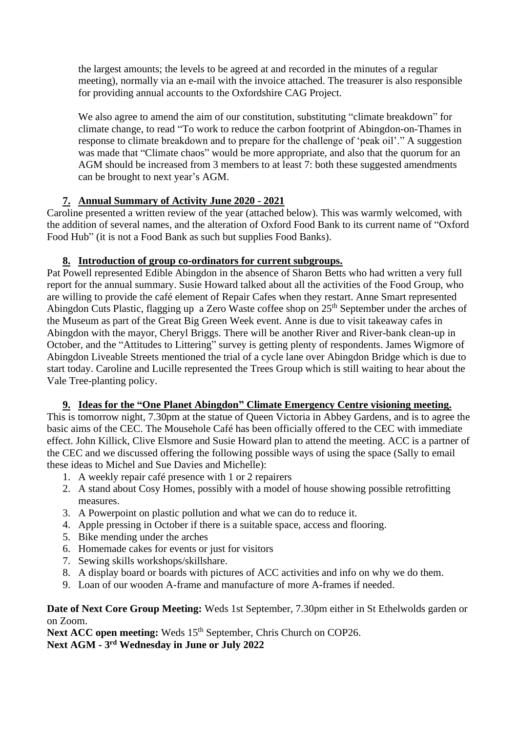the largest amounts; the levels to be agreed at and recorded in the minutes of a regular meeting), normally via an e-mail with the invoice attached. The treasurer is also responsible for providing annual accounts to the Oxfordshire CAG Project.

We also agree to amend the aim of our constitution, substituting "climate breakdown" for climate change, to read "To work to reduce the carbon footprint of Abingdon-on-Thames in response to climate breakdown and to prepare for the challenge of 'peak oil'." A suggestion was made that "Climate chaos" would be more appropriate, and also that the quorum for an AGM should be increased from 3 members to at least 7: both these suggested amendments can be brought to next year's AGM.

## **7. Annual Summary of Activity June 2020 - 2021**

Caroline presented a written review of the year (attached below). This was warmly welcomed, with the addition of several names, and the alteration of Oxford Food Bank to its current name of "Oxford Food Hub" (it is not a Food Bank as such but supplies Food Banks).

## **8. Introduction of group co-ordinators for current subgroups.**

Pat Powell represented Edible Abingdon in the absence of Sharon Betts who had written a very full report for the annual summary. Susie Howard talked about all the activities of the Food Group, who are willing to provide the café element of Repair Cafes when they restart. Anne Smart represented Abingdon Cuts Plastic, flagging up a Zero Waste coffee shop on  $25<sup>th</sup>$  September under the arches of the Museum as part of the Great Big Green Week event. Anne is due to visit takeaway cafes in Abingdon with the mayor, Cheryl Briggs. There will be another River and River-bank clean-up in October, and the "Attitudes to Littering" survey is getting plenty of respondents. James Wigmore of Abingdon Liveable Streets mentioned the trial of a cycle lane over Abingdon Bridge which is due to start today. Caroline and Lucille represented the Trees Group which is still waiting to hear about the Vale Tree-planting policy.

## **9. Ideas for the "One Planet Abingdon" Climate Emergency Centre visioning meeting.**

This is tomorrow night, 7.30pm at the statue of Queen Victoria in Abbey Gardens, and is to agree the basic aims of the CEC. The Mousehole Café has been officially offered to the CEC with immediate effect. John Killick, Clive Elsmore and Susie Howard plan to attend the meeting. ACC is a partner of the CEC and we discussed offering the following possible ways of using the space (Sally to email these ideas to Michel and Sue Davies and Michelle):

- 1. A weekly repair café presence with 1 or 2 repairers
- 2. A stand about Cosy Homes, possibly with a model of house showing possible retrofitting measures.
- 3. A Powerpoint on plastic pollution and what we can do to reduce it.
- 4. Apple pressing in October if there is a suitable space, access and flooring.
- 5. Bike mending under the arches
- 6. Homemade cakes for events or just for visitors
- 7. Sewing skills workshops/skillshare.
- 8. A display board or boards with pictures of ACC activities and info on why we do them.
- 9. Loan of our wooden A-frame and manufacture of more A-frames if needed.

**Date of Next Core Group Meeting:** Weds 1st September, 7.30pm either in St Ethelwolds garden or on Zoom.

**Next ACC open meeting:** Weds 15<sup>th</sup> September, Chris Church on COP26.

**Next AGM - 3 rd Wednesday in June or July 2022**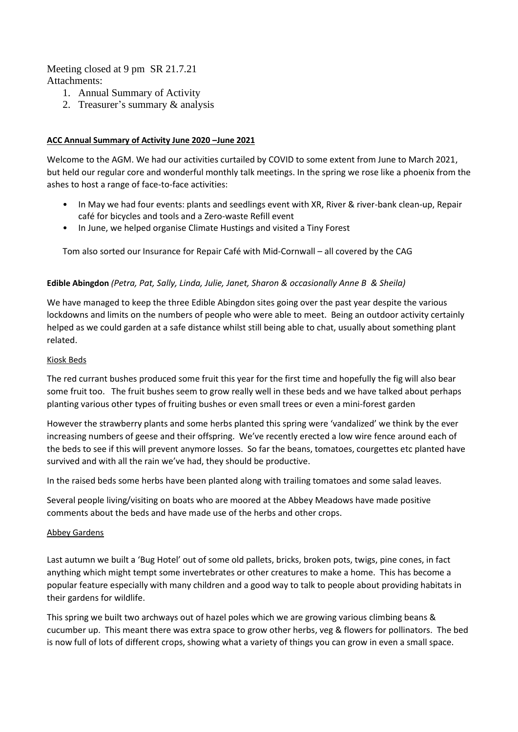Meeting closed at 9 pm SR 21.7.21 Attachments:

- 1. Annual Summary of Activity
- 2. Treasurer's summary & analysis

#### **ACC Annual Summary of Activity June 2020 –June 2021**

Welcome to the AGM. We had our activities curtailed by COVID to some extent from June to March 2021, but held our regular core and wonderful monthly talk meetings. In the spring we rose like a phoenix from the ashes to host a range of face-to-face activities:

- In May we had four events: plants and seedlings event with XR, River & river-bank clean-up, Repair café for bicycles and tools and a Zero-waste Refill event
- In June, we helped organise Climate Hustings and visited a Tiny Forest

Tom also sorted our Insurance for Repair Café with Mid-Cornwall – all covered by the CAG

#### **Edible Abingdon** *(Petra, Pat, Sally, Linda, Julie, Janet, Sharon & occasionally Anne B & Sheila)*

We have managed to keep the three Edible Abingdon sites going over the past year despite the various lockdowns and limits on the numbers of people who were able to meet. Being an outdoor activity certainly helped as we could garden at a safe distance whilst still being able to chat, usually about something plant related.

#### Kiosk Beds

The red currant bushes produced some fruit this year for the first time and hopefully the fig will also bear some fruit too. The fruit bushes seem to grow really well in these beds and we have talked about perhaps planting various other types of fruiting bushes or even small trees or even a mini-forest garden

However the strawberry plants and some herbs planted this spring were 'vandalized' we think by the ever increasing numbers of geese and their offspring. We've recently erected a low wire fence around each of the beds to see if this will prevent anymore losses. So far the beans, tomatoes, courgettes etc planted have survived and with all the rain we've had, they should be productive.

In the raised beds some herbs have been planted along with trailing tomatoes and some salad leaves.

Several people living/visiting on boats who are moored at the Abbey Meadows have made positive comments about the beds and have made use of the herbs and other crops.

#### Abbey Gardens

Last autumn we built a 'Bug Hotel' out of some old pallets, bricks, broken pots, twigs, pine cones, in fact anything which might tempt some invertebrates or other creatures to make a home. This has become a popular feature especially with many children and a good way to talk to people about providing habitats in their gardens for wildlife.

This spring we built two archways out of hazel poles which we are growing various climbing beans & cucumber up. This meant there was extra space to grow other herbs, veg & flowers for pollinators. The bed is now full of lots of different crops, showing what a variety of things you can grow in even a small space.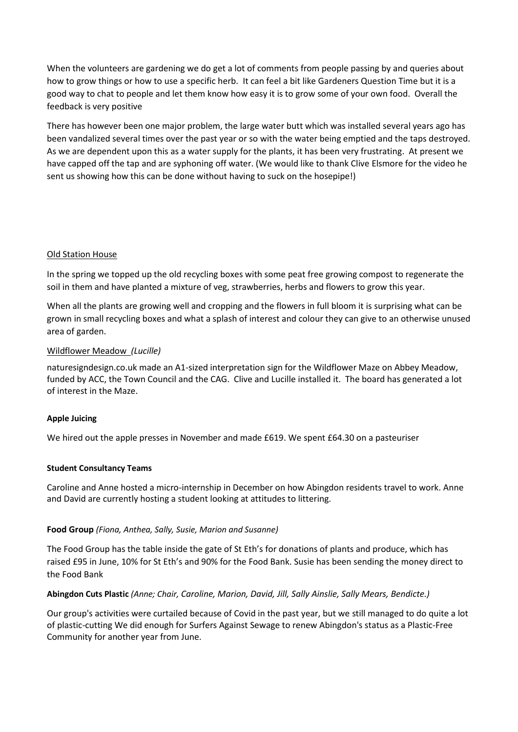When the volunteers are gardening we do get a lot of comments from people passing by and queries about how to grow things or how to use a specific herb. It can feel a bit like Gardeners Question Time but it is a good way to chat to people and let them know how easy it is to grow some of your own food. Overall the feedback is very positive

There has however been one major problem, the large water butt which was installed several years ago has been vandalized several times over the past year or so with the water being emptied and the taps destroyed. As we are dependent upon this as a water supply for the plants, it has been very frustrating. At present we have capped off the tap and are syphoning off water. (We would like to thank Clive Elsmore for the video he sent us showing how this can be done without having to suck on the hosepipe!)

#### Old Station House

In the spring we topped up the old recycling boxes with some peat free growing compost to regenerate the soil in them and have planted a mixture of veg, strawberries, herbs and flowers to grow this year.

When all the plants are growing well and cropping and the flowers in full bloom it is surprising what can be grown in small recycling boxes and what a splash of interest and colour they can give to an otherwise unused area of garden.

#### Wildflower Meadow *(Lucille)*

[naturesigndesign.co.uk](https://www.naturesigndesign.co.uk/) made an A1-sized interpretation sign for the Wildflower Maze on Abbey Meadow, funded by ACC, the Town Council and the CAG. Clive and Lucille installed it. The board has generated a lot of interest in the Maze.

#### **Apple Juicing**

We hired out the apple presses in November and made £619. We spent £64.30 on a pasteuriser

#### **Student Consultancy Teams**

Caroline and Anne hosted a micro-internship in December on how Abingdon residents travel to work. Anne and David are currently hosting a student looking at attitudes to littering.

#### **Food Group** *(Fiona, Anthea, Sally, Susie, Marion and Susanne)*

The Food Group has the table inside the gate of St Eth's for donations of plants and produce, which has raised £95 in June, 10% for St Eth's and 90% for the Food Bank. Susie has been sending the money direct to the Food Bank

#### **Abingdon Cuts Plastic** *(Anne; Chair, Caroline, Marion, David, Jill, Sally Ainslie, Sally Mears, Bendicte.)*

Our group's activities were curtailed because of Covid in the past year, but we still managed to do quite a lot of plastic-cutting We did enough for Surfers Against Sewage to renew Abingdon's status as a Plastic-Free Community for another year from June.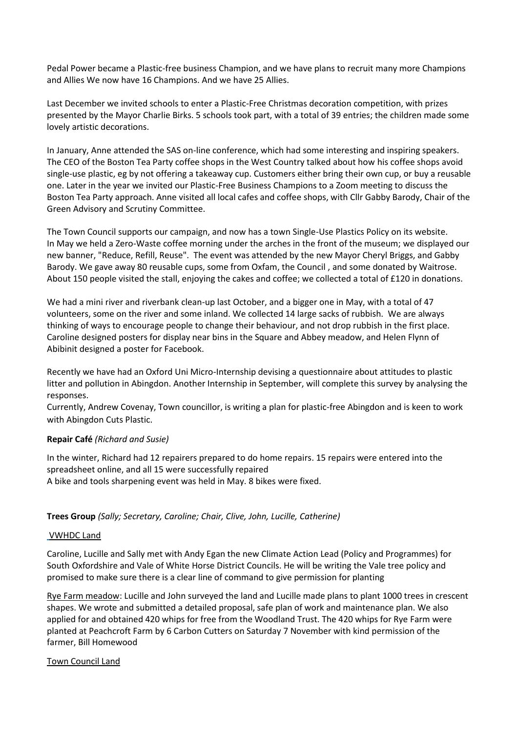Pedal Power became a Plastic-free business Champion, and we have plans to recruit many more Champions and Allies We now have 16 Champions. And we have 25 Allies.

Last December we invited schools to enter a Plastic-Free Christmas decoration competition, with prizes presented by the Mayor Charlie Birks. 5 schools took part, with a total of 39 entries; the children made some lovely artistic decorations.

In January, Anne attended the SAS on-line conference, which had some interesting and inspiring speakers. The CEO of the Boston Tea Party coffee shops in the West Country talked about how his coffee shops avoid single-use plastic, eg by not offering a takeaway cup. Customers either bring their own cup, or buy a reusable one. Later in the year we invited our Plastic-Free Business Champions to a Zoom meeting to discuss the Boston Tea Party approach. Anne visited all local cafes and coffee shops, with Cllr Gabby Barody, Chair of the Green Advisory and Scrutiny Committee.

The Town Council supports our campaign, and now has a town Single-Use Plastics Policy on its website. In May we held a Zero-Waste coffee morning under the arches in the front of the museum; we displayed our new banner, "Reduce, Refill, Reuse". The event was attended by the new Mayor Cheryl Briggs, and Gabby Barody. We gave away 80 reusable cups, some from Oxfam, the Council , and some donated by Waitrose. About 150 people visited the stall, enjoying the cakes and coffee; we collected a total of £120 in donations.

We had a mini river and riverbank clean-up last October, and a bigger one in May, with a total of 47 volunteers, some on the river and some inland. We collected 14 large sacks of rubbish. We are always thinking of ways to encourage people to change their behaviour, and not drop rubbish in the first place. Caroline designed posters for display near bins in the Square and Abbey meadow, and Helen Flynn of Abibinit designed a poster for Facebook.

Recently we have had an Oxford Uni Micro-Internship devising a questionnaire about attitudes to plastic litter and pollution in Abingdon. Another Internship in September, will complete this survey by analysing the responses.

Currently, Andrew Covenay, Town councillor, is writing a plan for plastic-free Abingdon and is keen to work with Abingdon Cuts Plastic.

#### **Repair Café** *(Richard and Susie)*

In the winter, Richard had 12 repairers prepared to do home repairs. 15 repairs were entered into the spreadsheet online, and all 15 were successfully repaired A bike and tools sharpening event was held in May. 8 bikes were fixed.

#### **Trees Group** *(Sally; Secretary, Caroline; Chair, Clive, John, Lucille, Catherine)*

#### VWHDC Land

Caroline, Lucille and Sally met with Andy Egan the new Climate Action Lead (Policy and Programmes) for South Oxfordshire and Vale of White Horse District Councils. He will be writing the Vale tree policy and promised to make sure there is a clear line of command to give permission for planting

Rye Farm meadow: Lucille and John surveyed the land and Lucille made plans to plant 1000 trees in crescent shapes. We wrote and submitted a detailed proposal, safe plan of work and maintenance plan. We also applied for and obtained 420 whips for free from the Woodland Trust. The 420 whips for Rye Farm were planted at Peachcroft Farm by 6 Carbon Cutters on Saturday 7 November with kind permission of the farmer, Bill Homewood

#### Town Council Land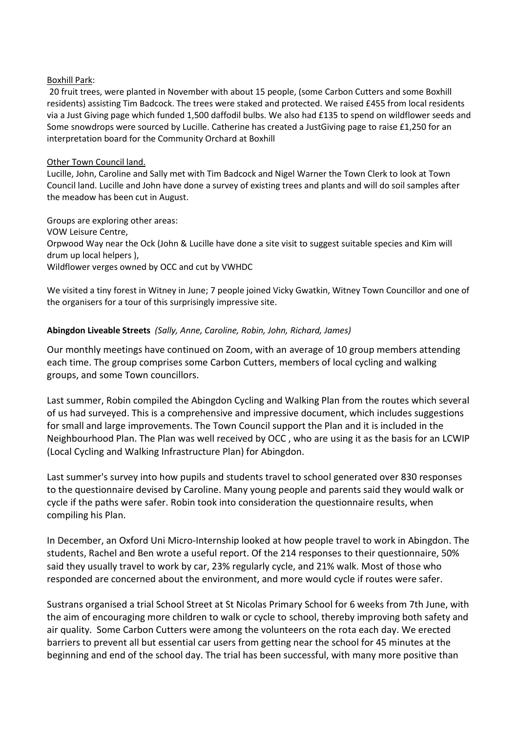#### Boxhill Park:

20 fruit trees, were planted in November with about 15 people, (some Carbon Cutters and some Boxhill residents) assisting Tim Badcock. The trees were staked and protected. We raised £455 from local residents via a Just Giving page which funded 1,500 daffodil bulbs. We also had £135 to spend on wildflower seeds and Some snowdrops were sourced by Lucille. Catherine has created a JustGiving page to raise £1,250 for an interpretation board for the Community Orchard at Boxhill

#### Other Town Council land.

Lucille, John, Caroline and Sally met with Tim Badcock and Nigel Warner the Town Clerk to look at Town Council land. Lucille and John have done a survey of existing trees and plants and will do soil samples after the meadow has been cut in August.

Groups are exploring other areas: VOW Leisure Centre, Orpwood Way near the Ock (John & Lucille have done a site visit to suggest suitable species and Kim will drum up local helpers ), Wildflower verges owned by OCC and cut by VWHDC

We visited a tiny forest in Witney in June; 7 people joined Vicky Gwatkin, Witney Town Councillor and one of the organisers for a tour of this surprisingly impressive site.

#### **Abingdon Liveable Streets** *(Sally, Anne, Caroline, Robin, John, Richard, James)*

Our monthly meetings have continued on Zoom, with an average of 10 group members attending each time. The group comprises some Carbon Cutters, members of local cycling and walking groups, and some Town councillors.

Last summer, Robin compiled the Abingdon Cycling and Walking Plan from the routes which several of us had surveyed. This is a comprehensive and impressive document, which includes suggestions for small and large improvements. The Town Council support the Plan and it is included in the Neighbourhood Plan. The Plan was well received by OCC , who are using it as the basis for an LCWIP (Local Cycling and Walking Infrastructure Plan) for Abingdon.

Last summer's survey into how pupils and students travel to school generated over 830 responses to the questionnaire devised by Caroline. Many young people and parents said they would walk or cycle if the paths were safer. Robin took into consideration the questionnaire results, when compiling his Plan.

In December, an Oxford Uni Micro-Internship looked at how people travel to work in Abingdon. The students, Rachel and Ben wrote a useful report. Of the 214 responses to their questionnaire, 50% said they usually travel to work by car, 23% regularly cycle, and 21% walk. Most of those who responded are concerned about the environment, and more would cycle if routes were safer.

Sustrans organised a trial School Street at St Nicolas Primary School for 6 weeks from 7th June, with the aim of encouraging more children to walk or cycle to school, thereby improving both safety and air quality. Some Carbon Cutters were among the volunteers on the rota each day. We erected barriers to prevent all but essential car users from getting near the school for 45 minutes at the beginning and end of the school day. The trial has been successful, with many more positive than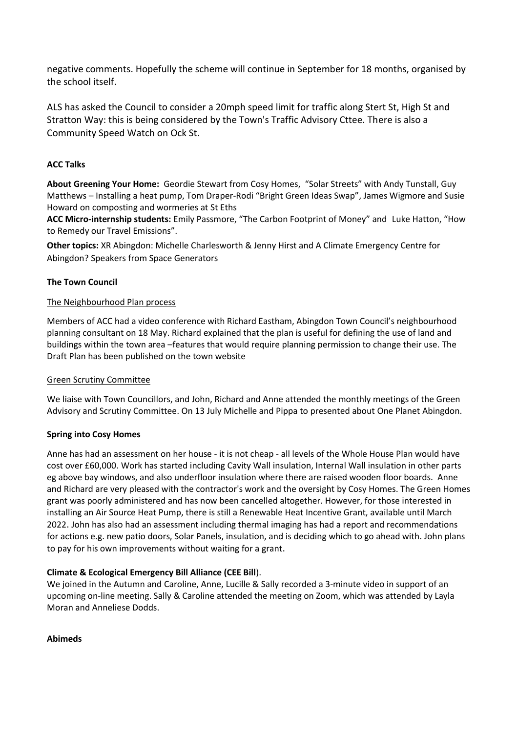negative comments. Hopefully the scheme will continue in September for 18 months, organised by the school itself.

ALS has asked the Council to consider a 20mph speed limit for traffic along Stert St, High St and Stratton Way: this is being considered by the Town's Traffic Advisory Cttee. There is also a Community Speed Watch on Ock St.

#### **ACC Talks**

**About Greening Your Home:** Geordie Stewart from Cosy Homes, "Solar Streets" with Andy Tunstall, Guy Matthews – Installing a heat pump, Tom Draper-Rodi "Bright Green Ideas Swap", James Wigmore and Susie Howard on composting and wormeries at St Eths

**ACC Micro-internship students:** Emily Passmore, "The Carbon Footprint of Money" and Luke Hatton, "How to Remedy our Travel Emissions".

**Other topics:** XR Abingdon: Michelle Charlesworth & Jenny Hirst and A Climate Emergency Centre for Abingdon? Speakers from Space Generators

### **The Town Council**

#### The Neighbourhood Plan process

Members of ACC had a video conference with Richard Eastham, Abingdon Town Council's neighbourhood planning consultant on 18 May. Richard explained that the plan is useful for defining the use of land and buildings within the town area –features that would require planning permission to change their use. The Draft Plan has been published on the town website

#### Green Scrutiny Committee

We liaise with Town Councillors, and John, Richard and Anne attended the monthly meetings of the Green Advisory and Scrutiny Committee. On 13 July Michelle and Pippa to presented about One Planet Abingdon.

#### **Spring into Cosy Homes**

Anne has had an assessment on her house - it is not cheap - all levels of the Whole House Plan would have cost over £60,000. Work has started including Cavity Wall insulation, Internal Wall insulation in other parts eg above bay windows, and also underfloor insulation where there are raised wooden floor boards. Anne and Richard are very pleased with the contractor's work and the oversight by Cosy Homes. The Green Homes grant was poorly administered and has now been cancelled altogether. However, for those interested in installing an Air Source Heat Pump, there is still a Renewable Heat Incentive Grant, available until March 2022. John has also had an assessment including thermal imaging has had a report and recommendations for actions e.g. new patio doors, Solar Panels, insulation, and is deciding which to go ahead with. John plans to pay for his own improvements without waiting for a grant.

#### **Climate & Ecological Emergency Bill Alliance (CEE Bill**).

We joined in the Autumn and Caroline, Anne, Lucille & Sally recorded a 3-minute video in support of an upcoming on-line meeting. Sally & Caroline attended the meeting on Zoom, which was attended by Layla Moran and Anneliese Dodds.

#### **Abimeds**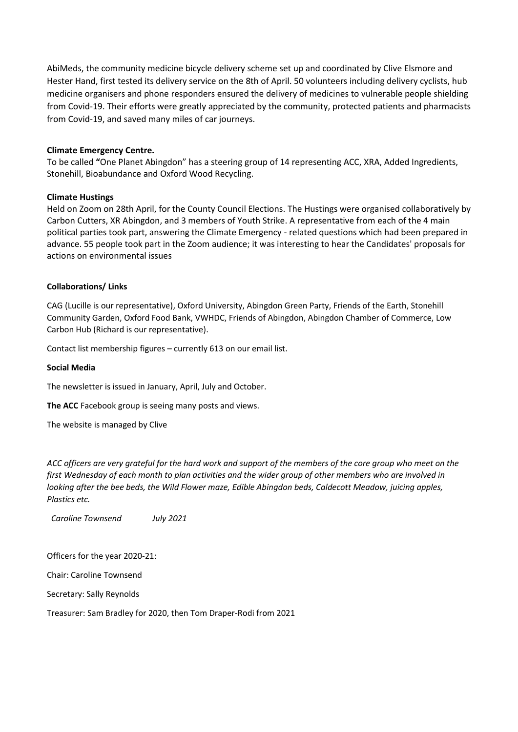AbiMeds, the community medicine bicycle delivery scheme set up and coordinated by Clive Elsmore and Hester Hand, first tested its delivery service on the 8th of April. 50 volunteers including delivery cyclists, hub medicine organisers and phone responders ensured the delivery of medicines to vulnerable people shielding from Covid-19. Their efforts were greatly appreciated by the community, protected patients and pharmacists from Covid-19, and saved many miles of car journeys.

#### **Climate Emergency Centre.**

To be called **"**One Planet Abingdon" has a steering group of 14 representing ACC, XRA, Added Ingredients, Stonehill, Bioabundance and Oxford Wood Recycling.

#### **Climate Hustings**

Held on Zoom on 28th April, for the County Council Elections. The Hustings were organised collaboratively by Carbon Cutters, XR Abingdon, and 3 members of Youth Strike. A representative from each of the 4 main political parties took part, answering the Climate Emergency - related questions which had been prepared in advance. 55 people took part in the Zoom audience; it was interesting to hear the Candidates' proposals for actions on environmental issues

#### **Collaborations/ Links**

CAG (Lucille is our representative), Oxford University, Abingdon Green Party, Friends of the Earth, Stonehill Community Garden, Oxford Food Bank, VWHDC, Friends of Abingdon, Abingdon Chamber of Commerce, Low Carbon Hub (Richard is our representative).

Contact list membership figures – currently 613 on our email list.

#### **Social Media**

The newsletter is issued in January, April, July and October.

**The ACC** Facebook group is seeing many posts and views.

The website is managed by Clive

*ACC officers are very grateful for the hard work and support of the members of the core group who meet on the first Wednesday of each month to plan activities and the wider group of other members who are involved in looking after the bee beds, the Wild Flower maze, Edible Abingdon beds, Caldecott Meadow, juicing apples, Plastics etc.* 

 *Caroline Townsend July 2021*

Officers for the year 2020-21:

Chair: Caroline Townsend

Secretary: Sally Reynolds

Treasurer: Sam Bradley for 2020, then Tom Draper-Rodi from 2021